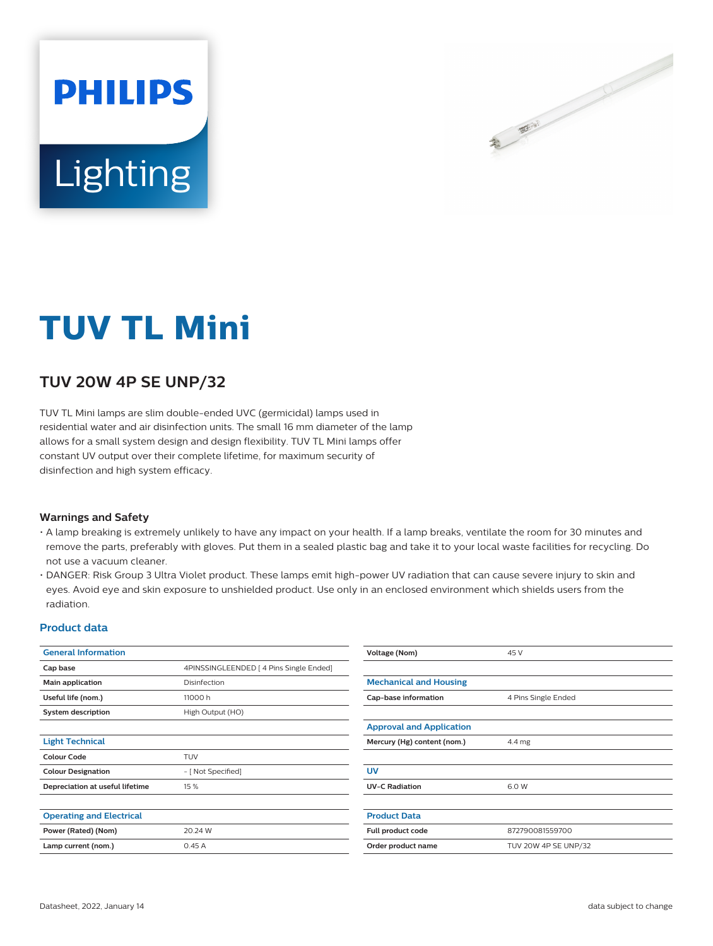

# Lighting

**PHILIPS** 

## **TUV TL Mini**

### **TUV 20W 4P SE UNP/32**

TUV TL Mini lamps are slim double-ended UVC (germicidal) lamps used in residential water and air disinfection units. The small 16 mm diameter of the lamp allows for a small system design and design flexibility. TUV TL Mini lamps offer constant UV output over their complete lifetime, for maximum security of disinfection and high system efficacy.

#### **Warnings and Safety**

- A lamp breaking is extremely unlikely to have any impact on your health. If a lamp breaks, ventilate the room for 30 minutes and remove the parts, preferably with gloves. Put them in a sealed plastic bag and take it to your local waste facilities for recycling. Do not use a vacuum cleaner.
- DANGER: Risk Group 3 Ultra Violet product. These lamps emit high-power UV radiation that can cause severe injury to skin and eyes. Avoid eye and skin exposure to unshielded product. Use only in an enclosed environment which shields users from the radiation.

#### **Product data**

| <b>General Information</b>      |                                         | Voltage (Nom)                   | 45 V                 |  |
|---------------------------------|-----------------------------------------|---------------------------------|----------------------|--|
| Cap base                        | 4PINSSINGLEENDED   4 Pins Single Ended] |                                 |                      |  |
| Main application                | Disinfection                            | <b>Mechanical and Housing</b>   |                      |  |
| Useful life (nom.)              | 11000 h                                 | Cap-base information            | 4 Pins Single Ended  |  |
| <b>System description</b>       | High Output (HO)                        |                                 |                      |  |
|                                 |                                         | <b>Approval and Application</b> |                      |  |
| <b>Light Technical</b>          |                                         | Mercury (Hg) content (nom.)     | 4.4 mg               |  |
| <b>Colour Code</b>              | <b>TUV</b>                              |                                 |                      |  |
| <b>Colour Designation</b>       | - [ Not Specified]                      | <b>UV</b>                       |                      |  |
| Depreciation at useful lifetime | 15 %                                    | <b>UV-C Radiation</b>           | 6.0 W                |  |
|                                 |                                         |                                 |                      |  |
| <b>Operating and Electrical</b> |                                         | <b>Product Data</b>             |                      |  |
| Power (Rated) (Nom)             | 20.24 W                                 | Full product code               | 872790081559700      |  |
| Lamp current (nom.)             | 0.45A                                   | Order product name              | TUV 20W 4P SE UNP/32 |  |
|                                 |                                         |                                 |                      |  |